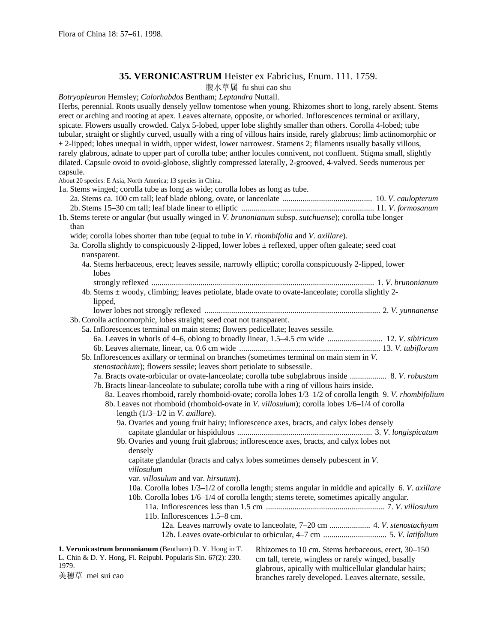# **35. VERONICASTRUM** Heister ex Fabricius, Enum. 111. 1759.

腹水草属 fu shui cao shu

*Botryopleuron* Hemsley; *Calorhabdos* Bentham; *Leptandra* Nuttall. Herbs, perennial. Roots usually densely yellow tomentose when young. Rhizomes short to long, rarely absent. Stems erect or arching and rooting at apex. Leaves alternate, opposite, or whorled. Inflorescences terminal or axillary, spicate. Flowers usually crowded. Calyx 5-lobed, upper lobe slightly smaller than others. Corolla 4-lobed; tube tubular, straight or slightly curved, usually with a ring of villous hairs inside, rarely glabrous; limb actinomorphic or  $\pm$  2-lipped; lobes unequal in width, upper widest, lower narrowest. Stamens 2; filaments usually basally villous, rarely glabrous, adnate to upper part of corolla tube; anther locules connivent, not confluent. Stigma small, slightly dilated. Capsule ovoid to ovoid-globose, slightly compressed laterally, 2-grooved, 4-valved. Seeds numerous per capsule. About 20 species: E Asia, North America; 13 species in China. 1a. Stems winged; corolla tube as long as wide; corolla lobes as long as tube. 2a. Stems ca. 100 cm tall; leaf blade oblong, ovate, or lanceolate ............................................ 10. *V*. *caulopterum* 2b. Stems 15–30 cm tall; leaf blade linear to elliptic ................................................................. 11. *V*. *formosanum* 1b. Stems terete or angular (but usually winged in *V*. *brunonianum* subsp. *sutchuense*); corolla tube longer than wide; corolla lobes shorter than tube (equal to tube in *V*. *rhombifolia* and *V. axillare*). 3a. Corolla slightly to conspicuously 2-lipped, lower lobes ± reflexed, upper often galeate; seed coat transparent. 4a. Stems herbaceous, erect; leaves sessile, narrowly elliptic; corolla conspicuously 2-lipped, lower lobes strongly reflexed ............................................................................................................. 1. *V*. *brunonianum* 4b. Stems ± woody, climbing; leaves petiolate, blade ovate to ovate-lanceolate; corolla slightly 2 lipped, lower lobes not strongly reflexed ...................................................................................... 2. *V*. *yunnanense* 3b. Corolla actinomorphic, lobes straight; seed coat not transparent. 5a. Inflorescences terminal on main stems; flowers pedicellate; leaves sessile. 6a. Leaves in whorls of 4–6, oblong to broadly linear, 1.5–4.5 cm wide ........................... 12. *V*. *sibiricum* 6b. Leaves alternate, linear, ca. 0.6 cm wide ..................................................................... 13. *V*. *tubiflorum* 5b. Inflorescences axillary or terminal on branches (sometimes terminal on main stem in *V*. *stenostachium*); flowers sessile; leaves short petiolate to subsessile. 7a. Bracts ovate-orbicular or ovate-lanceolate; corolla tube subglabrous inside .................. 8. *V*. *robustum* 7b. Bracts linear-lanceolate to subulate; corolla tube with a ring of villous hairs inside. 8a. Leaves rhomboid, rarely rhomboid-ovate; corolla lobes 1/3–1/2 of corolla length 9. *V*. *rhombifolium* 8b. Leaves not rhomboid (rhomboid-ovate in *V*. *villosulum*); corolla lobes 1/6–1/4 of corolla length (1/3–1/2 in *V*. *axillare*). 9a. Ovaries and young fruit hairy; inflorescence axes, bracts, and calyx lobes densely capitate glandular or hispidulous .................................................................. 3. *V*. *longispicatum* 9b. Ovaries and young fruit glabrous; inflorescence axes, bracts, and calyx lobes not densely capitate glandular (bracts and calyx lobes sometimes densely pubescent in *V*. *villosulum* var. *villosulum* and var. *hirsutum*). 10a. Corolla lobes 1/3–1/2 of corolla length; stems angular in middle and apically 6. *V*. *axillare* 10b. Corolla lobes 1/6–1/4 of corolla length; stems terete, sometimes apically angular. 11a. Inflorescences less than 1.5 cm .......................................................... 7. *V*. *villosulum* 11b. Inflorescences 1.5–8 cm. 12a. Leaves narrowly ovate to lanceolate, 7–20 cm .................... 4. *V*. *stenostachyum* 12b. Leaves ovate-orbicular to orbicular, 4–7 cm ............................... 5. *V*. *latifolium* **1. Veronicastrum brunonianum** (Bentham) D. Y. Hong in T. L. Chin & D. Y. Hong, Fl. Reipubl. Popularis Sin. 67(2): 230. 1979. 美穗草 mei sui cao Rhizomes to 10 cm. Stems herbaceous, erect, 30–150 cm tall, terete, wingless or rarely winged, basally glabrous, apically with multicellular glandular hairs; branches rarely developed. Leaves alternate, sessile,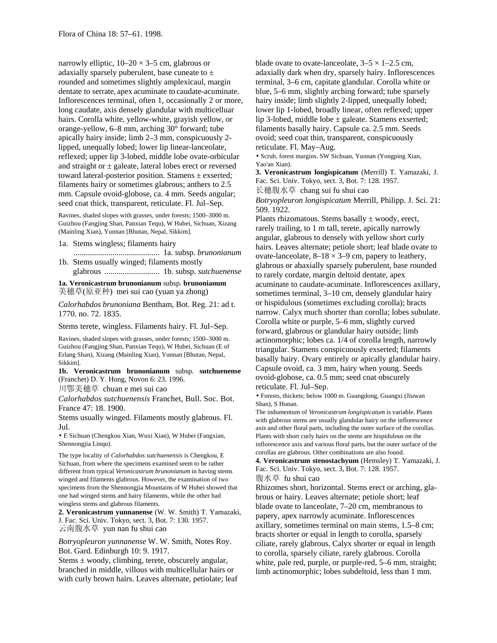narrowly elliptic,  $10-20 \times 3-5$  cm, glabrous or adaxially sparsely puberulent, base cuneate to  $\pm$ rounded and sometimes slightly amplexicaul, margin dentate to serrate, apex acuminate to caudate-acuminate. Inflorescences terminal, often 1, occasionally 2 or more, long caudate, axis densely glandular with multicelluar hairs. Corolla white, yellow-white, grayish yellow, or orange-yellow, 6–8 mm, arching 30° forward; tube apically hairy inside; limb 2–3 mm, conspicuously 2 lipped, unequally lobed; lower lip linear-lanceolate, reflexed; upper lip 3-lobed, middle lobe ovate-orbicular and straight or  $\pm$  galeate, lateral lobes erect or reversed toward lateral-posterior position. Stamens ± exserted; filaments hairy or sometimes glabrous; anthers to 2.5 mm. Capsule ovoid-globose, ca. 4 mm. Seeds angular; seed coat thick, transparent, reticulate. Fl. Jul–Sep.

Ravines, shaded slopes with grasses, under forests; 1500–3000 m. Guizhou (Fangjing Shan, Panxian Tequ), W Hubei, Sichuan, Xizang (Mainling Xian), Yunnan [Bhutan, Nepal, Sikkim].

1a. Stems wingless; filaments hairy

- .......................................... 1a. subsp. *brunonianum* 1b. Stems usually winged; filaments mostly
- glabrous ........................... 1b. subsp. *sutchuenense*

**1a. Veronicastrum brunonianum** subsp. **brunonianum** 美穗草(原亚种) mei sui cao (yuan ya zhong)

*Calorhabdos brunoniana* Bentham, Bot. Reg. 21: ad t. 1770. no. 72. 1835.

Stems terete, wingless. Filaments hairy. Fl. Jul–Sep.

Ravines, shaded slopes with grasses, under forests; 1500–3000 m. Guizhou (Fangjing Shan, Panxian Tequ), W Hubei, Sichuan (E of Erlang Shan), Xizang (Mainling Xian), Yunnan [Bhutan, Nepal, Sikkim].

**1b. Veronicastrum brunonianum** subsp. **sutchuenense** (Franchet) D. Y. Hong, Novon 6: 23. 1996.

川鄂美穗草 chuan e mei sui cao

*Calorhabdos sutchuenensis* Franchet, Bull. Soc. Bot. France 47: 18. 1900.

Stems usually winged. Filaments mostly glabrous. Fl. Jul.

• E Sichuan (Chengkou Xian, Wuxi Xian), W Hubei (Fangxian, Shennongjia Linqu).

The type locality of *Calorhabdos sutchuenensis* is Chengkou, E Sichuan, from where the specimens examined seem to be rather different from typical *Veronicastrum brunonianum* in having stems winged and filaments glabrous. However, the examination of two specimens from the Shennongjia Mountains of W Hubei showed that one had winged stems and hairy filaments, while the other had wingless stems and glabrous filaments.

**2. Veronicastrum yunnanense** (W. W. Smith) T. Yamazaki, J. Fac. Sci. Univ. Tokyo, sect. 3, Bot. 7: 130. 1957. 云南腹水草 yun nan fu shui cao

*Botryopleuron yunnanense* W. W. Smith, Notes Roy. Bot. Gard. Edinburgh 10: 9. 1917.

Stems  $\pm$  woody, climbing, terete, obscurely angular, branched in middle, villous with multicellular hairs or with curly brown hairs. Leaves alternate, petiolate; leaf blade ovate to ovate-lanceolate,  $3-5 \times 1-2.5$  cm, adaxially dark when dry, sparsely hairy. Inflorescences terminal, 3–6 cm, capitate glandular. Corolla white or blue, 5–6 mm, slightly arching forward; tube sparsely hairy inside; limb slightly 2-lipped, unequally lobed; lower lip 1-lobed, broadly linear, often reflexed; upper lip 3-lobed, middle lobe  $\pm$  galeate. Stamens exserted; filaments basally hairy. Capsule ca. 2.5 mm. Seeds ovoid; seed coat thin, transparent, conspicuously reticulate. Fl. May–Aug.

• Scrub, forest margins. SW Sichuan, Yunnan (Yongping Xian, Yao'an Xian).

**3. Veronicastrum longispicatum** (Merrill) T. Yamazaki, J. Fac. Sci. Univ. Tokyo, sect. 3, Bot. 7: 128. 1957. 长穗腹水草 chang sui fu shui cao

*Botryopleuron longispicatum* Merrill, Philipp. J. Sci. 21: 509. 1922.

Plants rhizomatous. Stems basally  $\pm$  woody, erect, rarely trailing, to 1 m tall, terete, apically narrowly angular, glabrous to densely with yellow short curly hairs. Leaves alternate; petiole short; leaf blade ovate to ovate-lanceolate,  $8-18 \times 3-9$  cm, papery to leathery, glabrous or abaxially sparsely puberulent, base rounded to rarely cordate, margin deltoid dentate, apex acuminate to caudate-acuminate. Inflorescences axillary, sometimes terminal, 3–10 cm, densely glandular hairy or hispidulous (sometimes excluding corolla); bracts narrow. Calyx much shorter than corolla; lobes subulate. Corolla white or purple, 5–6 mm, slightly curved forward, glabrous or glandular hairy outside; limb actinomorphic; lobes ca. 1/4 of corolla length, narrowly triangular. Stamens conspicuously exserted; filaments basally hairy. Ovary entirely or apically glandular hairy. Capsule ovoid, ca. 3 mm, hairy when young. Seeds ovoid-globose, ca. 0.5 mm; seed coat obscurely reticulate. Fl. Jul–Sep.

• Forests, thickets; below 1000 m. Guangdong, Guangxi (Jiuwan Shan), S Hunan.

The indumentum of *Veronicastrum longispicatum* is variable. Plants with glabrous stems are usually glandular hairy on the inflorescence axis and other floral parts, including the outer surface of the corollas. Plants with short curly hairs on the stems are hispidulous on the inflorescence axis and various floral parts, but the outer surface of the corollas are glabrous. Other combinations are also found.

**4. Veronicastrum stenostachyum** (Hemsley) T. Yamazaki, J. Fac. Sci. Univ. Tokyo, sect. 3, Bot. 7: 128. 1957. 腹水草 fu shui cao

Rhizomes short, horizontal. Stems erect or arching, glabrous or hairy. Leaves alternate; petiole short; leaf blade ovate to lanceolate, 7–20 cm, membranous to papery, apex narrowly acuminate. Inflorescences axillary, sometimes terminal on main stems, 1.5–8 cm; bracts shorter or equal in length to corolla, sparsely ciliate, rarely glabrous. Calyx shorter or equal in length to corolla, sparsely ciliate, rarely glabrous. Corolla white, pale red, purple, or purple-red, 5–6 mm, straight; limb actinomorphic; lobes subdeltoid, less than 1 mm.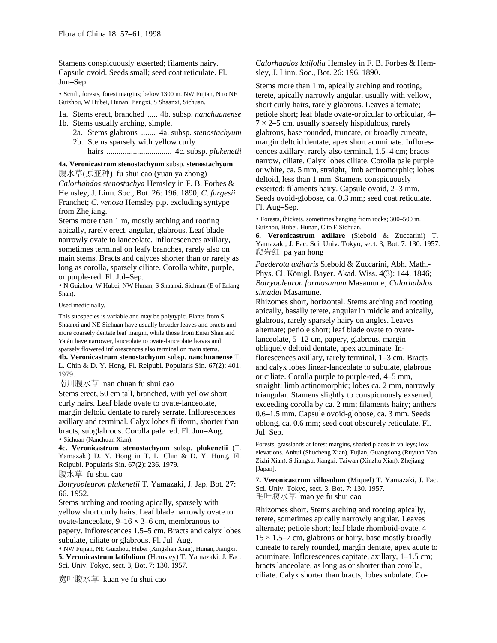Stamens conspicuously exserted; filaments hairy. Capsule ovoid. Seeds small; seed coat reticulate. Fl. Jun–Sep.

• Scrub, forests, forest margins; below 1300 m. NW Fujian, N to NE Guizhou, W Hubei, Hunan, Jiangxi, S Shaanxi, Sichuan.

1a. Stems erect, branched ..... 4b. subsp. *nanchuanense* 1b. Stems usually arching, simple.

- 2a. Stems glabrous ....... 4a. subsp. *stenostachyum*
- 2b. Stems sparsely with yellow curly hairs ................................ 4c. subsp. *plukenetii*

**4a. Veronicastrum stenostachyum** subsp. **stenostachyum** 腹水草(原亚种) fu shui cao (yuan ya zhong) *Calorhabdos stenostachya* Hemsley in F. B. Forbes & Hemsley, J. Linn. Soc., Bot. 26: 196. 1890; *C*. *fargesii* Franchet; *C*. *venosa* Hemsley p.p. excluding syntype from Zhejiang.

Stems more than 1 m, mostly arching and rooting apically, rarely erect, angular, glabrous. Leaf blade narrowly ovate to lanceolate. Inflorescences axillary, sometimes terminal on leafy branches, rarely also on main stems. Bracts and calyces shorter than or rarely as long as corolla, sparsely ciliate. Corolla white, purple, or purple-red. Fl. Jul–Sep.

• N Guizhou, W Hubei, NW Hunan, S Shaanxi, Sichuan (E of Erlang Shan).

Used medicinally.

This subspecies is variable and may be polytypic. Plants from S Shaanxi and NE Sichuan have usually broader leaves and bracts and more coarsely dentate leaf margin, while those from Emei Shan and Ya án have narrower, lanceolate to ovate-lanceolate leaves and sparsely flowered inflorescences also terminal on main stems.

**4b. Veronicastrum stenostachyum** subsp. **nanchuanense** T. L. Chin & D. Y. Hong, Fl. Reipubl. Popularis Sin. 67(2): 401. 1979.

南川腹水草 nan chuan fu shui cao

Stems erect, 50 cm tall, branched, with yellow short curly hairs. Leaf blade ovate to ovate-lanceolate, margin deltoid dentate to rarely serrate. Inflorescences axillary and terminal. Calyx lobes filiform, shorter than bracts, subglabrous. Corolla pale red. Fl. Jun–Aug. • Sichuan (Nanchuan Xian).

**4c. Veronicastrum stenostachyum** subsp. **plukenetii** (T. Yamazaki) D. Y. Hong in T. L. Chin & D. Y. Hong, Fl. Reipubl. Popularis Sin. 67(2): 236. 1979.

腹水草 fu shui cao

*Botryopleuron plukenetii* T. Yamazaki, J. Jap. Bot. 27: 66. 1952.

Stems arching and rooting apically, sparsely with yellow short curly hairs. Leaf blade narrowly ovate to ovate-lanceolate,  $9-16 \times 3-6$  cm, membranous to papery. Inflorescences 1.5–5 cm. Bracts and calyx lobes subulate, ciliate or glabrous. Fl. Jul–Aug.

• NW Fujian, NE Guizhou, Hubei (Xingshan Xian), Hunan, Jiangxi. **5. Veronicastrum latifolium** (Hemsley) T. Yamazaki, J. Fac. Sci. Univ. Tokyo, sect. 3, Bot. 7: 130. 1957.

宽叶腹水草 kuan ye fu shui cao

*Calorhabdos latifolia* Hemsley in F. B. Forbes & Hemsley, J. Linn. Soc., Bot. 26: 196. 1890.

Stems more than 1 m, apically arching and rooting, terete, apically narrowly angular, usually with yellow, short curly hairs, rarely glabrous. Leaves alternate; petiole short; leaf blade ovate-orbicular to orbicular, 4–  $7 \times 2$ –5 cm, usually sparsely hispidulous, rarely glabrous, base rounded, truncate, or broadly cuneate, margin deltoid dentate, apex short acuminate. Inflorescences axillary, rarely also terminal, 1.5–4 cm; bracts narrow, ciliate. Calyx lobes ciliate. Corolla pale purple or white, ca. 5 mm, straight, limb actinomorphic; lobes deltoid, less than 1 mm. Stamens conspicuously exserted; filaments hairy. Capsule ovoid, 2–3 mm. Seeds ovoid-globose, ca. 0.3 mm; seed coat reticulate. Fl. Aug–Sep.

• Forests, thickets, sometimes hanging from rocks; 300–500 m. Guizhou, Hubei, Hunan, C to E Sichuan.

**6. Veronicastrum axillare** (Siebold & Zuccarini) T. Yamazaki, J. Fac. Sci. Univ. Tokyo, sect. 3, Bot. 7: 130. 1957. 爬岩红 pa yan hong

*Paederota axillaris* Siebold & Zuccarini, Abh. Math.- Phys. Cl. Königl. Bayer. Akad. Wiss. 4(3): 144. 1846; *Botryopleuron formosanum* Masamune; *Calorhabdos simadai* Masamune.

Rhizomes short, horizontal. Stems arching and rooting apically, basally terete, angular in middle and apically, glabrous, rarely sparsely hairy on angles. Leaves alternate; petiole short; leaf blade ovate to ovatelanceolate, 5–12 cm, papery, glabrous, margin obliquely deltoid dentate, apex acuminate. Inflorescences axillary, rarely terminal, 1–3 cm. Bracts and calyx lobes linear-lanceolate to subulate, glabrous or ciliate. Corolla purple to purple-red, 4–5 mm, straight; limb actinomorphic; lobes ca. 2 mm, narrowly triangular. Stamens slightly to conspicuously exserted, exceeding corolla by ca. 2 mm; filaments hairy; anthers 0.6–1.5 mm. Capsule ovoid-globose, ca. 3 mm. Seeds oblong, ca. 0.6 mm; seed coat obscurely reticulate. Fl. Jul–Sep.

Forests, grasslands at forest margins, shaded places in valleys; low elevations. Anhui (Shucheng Xian), Fujian, Guangdong (Ruyuan Yao Zizhi Xian), S Jiangsu, Jiangxi, Taiwan (Xinzhu Xian), Zhejiang [Japan].

**7. Veronicastrum villosulum** (Miquel) T. Yamazaki, J. Fac. Sci. Univ. Tokyo, sect. 3, Bot. 7: 130. 1957. 毛叶腹水草 mao ye fu shui cao

Rhizomes short. Stems arching and rooting apically, terete, sometimes apically narrowly angular. Leaves alternate; petiole short; leaf blade rhomboid-ovate, 4–  $15 \times 1.5$ –7 cm, glabrous or hairy, base mostly broadly cuneate to rarely rounded, margin dentate, apex acute to acuminate. Inflorescences capitate, axillary, 1–1.5 cm; bracts lanceolate, as long as or shorter than corolla, ciliate. Calyx shorter than bracts; lobes subulate. Co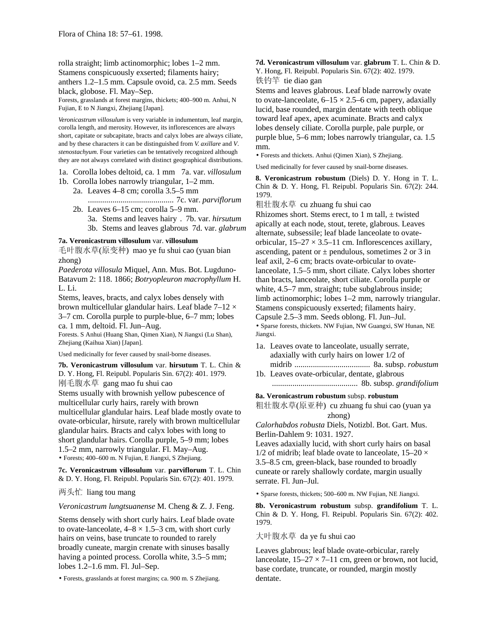rolla straight; limb actinomorphic; lobes 1–2 mm.

Stamens conspicuously exserted; filaments hairy; anthers 1.2–1.5 mm. Capsule ovoid, ca. 2.5 mm. Seeds black, globose. Fl. May–Sep.

Forests, grasslands at forest margins, thickets; 400–900 m. Anhui, N Fujian, E to N Jiangxi, Zhejiang [Japan].

*Veronicastrum villosulum* is very variable in indumentum, leaf margin, corolla length, and merosity. However, its inflorescences are always short, capitate or subcapitate, bracts and calyx lobes are always ciliate, and by these characters it can be distinguished from *V. axillare* and *V*. *stenostachyum*. Four varieties can be tentatively recognized although they are not always correlated with distinct geographical distributions.

- 1a. Corolla lobes deltoid, ca. 1 mm 7a. var. *villosulum*
- 1b. Corolla lobes narrowly triangular, 1–2 mm.
	- 2a. Leaves 4–8 cm; corolla 3.5–5 mm

.......................................... 7c. var. *parviflorum*

- 2b. Leaves 6–15 cm; corolla 5–9 mm.
	- 3a. Stems and leaves hairy . 7b. var. *hirsutum*
	- 3b. Stems and leaves glabrous 7d. var. *glabrum*

## **7a. Veronicastrum villosulum** var. **villosulum**

毛叶腹水草(原变种) mao ye fu shui cao (yuan bian zhong)

*Paederota villosula* Miquel, Ann. Mus. Bot. Lugduno-Batavum 2: 118. 1866; *Botryopleuron macrophyllum* H. L. Li.

Stems, leaves, bracts, and calyx lobes densely with brown multicellular glandular hairs. Leaf blade 7–12 × 3–7 cm. Corolla purple to purple-blue, 6–7 mm; lobes ca. 1 mm, deltoid. Fl. Jun–Aug.

Forests. S Anhui (Huang Shan, Qimen Xian), N Jiangxi (Lu Shan), Zhejiang (Kaihua Xian) [Japan].

Used medicinally for fever caused by snail-borne diseases.

**7b. Veronicastrum villosulum** var. **hirsutum** T. L. Chin & D. Y. Hong, Fl. Reipubl. Popularis Sin. 67(2): 401. 1979. 刚毛腹水草 gang mao fu shui cao

Stems usually with brownish yellow pubescence of multicellular curly hairs, rarely with brown multicellular glandular hairs. Leaf blade mostly ovate to ovate-orbicular, hirsute, rarely with brown multicellular glandular hairs. Bracts and calyx lobes with long to short glandular hairs. Corolla purple, 5–9 mm; lobes 1.5–2 mm, narrowly triangular. Fl. May–Aug. • Forests; 400–600 m. N Fujian, E Jiangxi, S Zhejiang.

**7c. Veronicastrum villosulum** var. **parviflorum** T. L. Chin & D. Y. Hong, Fl. Reipubl. Popularis Sin. 67(2): 401. 1979.

两头忙 liang tou mang

#### *Veronicastrum lungtsuanense* M. Cheng & Z. J. Feng.

Stems densely with short curly hairs. Leaf blade ovate to ovate-lanceolate,  $4-8 \times 1.5-3$  cm, with short curly hairs on veins, base truncate to rounded to rarely broadly cuneate, margin crenate with sinuses basally having a pointed process. Corolla white, 3.5–5 mm; lobes 1.2–1.6 mm. Fl. Jul–Sep.

• Forests, grasslands at forest margins; ca. 900 m. S Zhejiang.

**7d. Veronicastrum villosulum** var. **glabrum** T. L. Chin & D. Y. Hong, Fl. Reipubl. Popularis Sin. 67(2): 402. 1979. 铁钓竿 tie diao gan

Stems and leaves glabrous. Leaf blade narrowly ovate to ovate-lanceolate,  $6-15 \times 2.5-6$  cm, papery, adaxially lucid, base rounded, margin dentate with teeth oblique toward leaf apex, apex acuminate. Bracts and calyx lobes densely ciliate. Corolla purple, pale purple, or purple blue, 5–6 mm; lobes narrowly triangular, ca. 1.5 mm.

• Forests and thickets. Anhui (Qimen Xian), S Zhejiang.

Used medicinally for fever caused by snail-borne diseases.

**8. Veronicastrum robustum** (Diels) D. Y. Hong in T. L. Chin & D. Y. Hong, Fl. Reipubl. Popularis Sin. 67(2): 244. 1979.

粗壮腹水草 cu zhuang fu shui cao

Rhizomes short. Stems erect, to 1 m tall,  $\pm$  twisted apically at each node, stout, terete, glabrous. Leaves alternate, subsessile; leaf blade lanceolate to ovateorbicular,  $15-27 \times 3.5-11$  cm. Inflorescences axillary, ascending, patent or  $\pm$  pendulous, sometimes 2 or 3 in leaf axil, 2–6 cm; bracts ovate-orbicular to ovatelanceolate, 1.5–5 mm, short ciliate. Calyx lobes shorter than bracts, lanceolate, short ciliate. Corolla purple or white, 4.5–7 mm, straight; tube subglabrous inside; limb actinomorphic; lobes 1–2 mm, narrowly triangular. Stamens conspicuously exserted; filaments hairy. Capsule 2.5–3 mm. Seeds oblong. Fl. Jun–Jul.

• Sparse forests, thickets. NW Fujian, NW Guangxi, SW Hunan, NE Jiangxi.

1a. Leaves ovate to lanceolate, usually serrate, adaxially with curly hairs on lower 1/2 of midrib ..................................... 8a. subsp. *robustum*

1b. Leaves ovate-orbicular, dentate, glabrous .......................................... 8b. subsp. *grandifolium*

### **8a. Veronicastrum robustum** subsp. **robustum**

粗壮腹水草(原亚种) cu zhuang fu shui cao (yuan ya zhong)

*Calorhabdos robusta* Diels, Notizbl. Bot. Gart. Mus. Berlin-Dahlem 9: 1031. 1927.

Leaves adaxially lucid, with short curly hairs on basal 1/2 of midrib; leaf blade ovate to lanceolate,  $15-20 \times$ 3.5–8.5 cm, green-black, base rounded to broadly cuneate or rarely shallowly cordate, margin usually serrate. Fl. Jun–Jul.

• Sparse forests, thickets; 500–600 m. NW Fujian, NE Jiangxi.

**8b. Veronicastrum robustum** subsp. **grandifolium** T. L. Chin & D. Y. Hong, Fl. Reipubl. Popularis Sin. 67(2): 402. 1979.

## 大叶腹水草 da ye fu shui cao

Leaves glabrous; leaf blade ovate-orbicular, rarely lanceolate,  $15-27 \times 7-11$  cm, green or brown, not lucid, base cordate, truncate, or rounded, margin mostly dentate.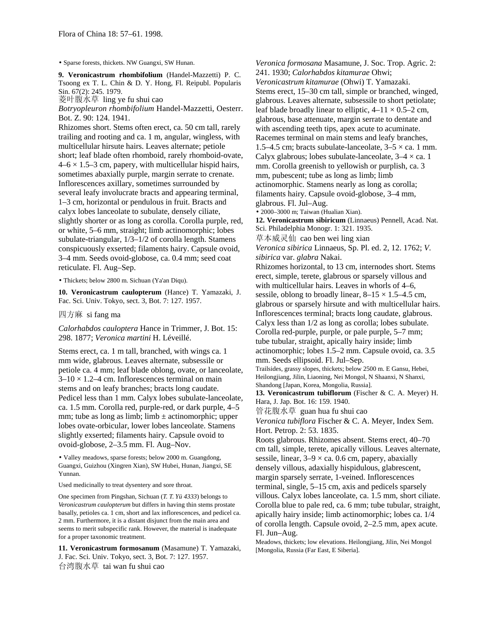• Sparse forests, thickets. NW Guangxi, SW Hunan.

**9. Veronicastrum rhombifolium** (Handel-Mazzetti) P. C. Tsoong ex T. L. Chin & D. Y. Hong, Fl. Reipubl. Popularis Sin. 67(2): 245. 1979.

菱叶腹水草 ling ye fu shui cao

*Botryopleuron rhombifolium* Handel-Mazzetti, Oesterr. Bot. Z. 90: 124. 1941.

Rhizomes short. Stems often erect, ca. 50 cm tall, rarely trailing and rooting and ca. 1 m, angular, wingless, with multicellular hirsute hairs. Leaves alternate; petiole short; leaf blade often rhomboid, rarely rhomboid-ovate,  $4-6 \times 1.5-3$  cm, papery, with multicellular hispid hairs, sometimes abaxially purple, margin serrate to crenate. Inflorescences axillary, sometimes surrounded by several leafy involucrate bracts and appearing terminal, 1–3 cm, horizontal or pendulous in fruit. Bracts and calyx lobes lanceolate to subulate, densely ciliate, slightly shorter or as long as corolla. Corolla purple, red, or white, 5–6 mm, straight; limb actinomorphic; lobes subulate-triangular, 1/3–1/2 of corolla length. Stamens conspicuously exserted; filaments hairy. Capsule ovoid, 3–4 mm. Seeds ovoid-globose, ca. 0.4 mm; seed coat reticulate. Fl. Aug–Sep.

• Thickets; below 2800 m. Sichuan (Ya'an Diqu).

**10. Veronicastrum caulopterum** (Hance) T. Yamazaki, J. Fac. Sci. Univ. Tokyo, sect. 3, Bot. 7: 127. 1957.

#### 四方麻 si fang ma

*Calorhabdos cauloptera* Hance in Trimmer, J. Bot. 15: 298. 1877; *Veronica martini* H. Léveillé.

Stems erect, ca. 1 m tall, branched, with wings ca. 1 mm wide, glabrous. Leaves alternate, subsessile or petiole ca. 4 mm; leaf blade oblong, ovate, or lanceolate,  $3-10 \times 1.2-4$  cm. Inflorescences terminal on main stems and on leafy branches; bracts long caudate. Pedicel less than 1 mm. Calyx lobes subulate-lanceolate, ca. 1.5 mm. Corolla red, purple-red, or dark purple, 4–5 mm; tube as long as limb; limb  $\pm$  actinomorphic; upper lobes ovate-orbicular, lower lobes lanceolate. Stamens slightly exserted; filaments hairy. Capsule ovoid to ovoid-globose, 2–3.5 mm. Fl. Aug–Nov.

• Valley meadows, sparse forests; below 2000 m. Guangdong, Guangxi, Guizhou (Xingren Xian), SW Hubei, Hunan, Jiangxi, SE Yunnan.

Used medicinally to treat dysentery and sore throat.

One specimen from Pingshan, Sichuan (*T. T. Yü 4333*) belongs to *Veronicastrum caulopterum* but differs in having thin stems prostate basally, petioles ca. 1 cm, short and lax inflorescences, and pedicel ca. 2 mm. Furthermore, it is a distant disjunct from the main area and seems to merit subspecific rank. However, the material is inadequate for a proper taxonomic treatment.

**11. Veronicastrum formosanum** (Masamune) T. Yamazaki, J. Fac. Sci. Univ. Tokyo, sect. 3, Bot. 7: 127. 1957. 台湾腹水草 tai wan fu shui cao

*Veronica formosana* Masamune, J. Soc. Trop. Agric. 2: 241. 1930; *Calorhabdos kitamurae* Ohwi; *Veronicastrum kitamurae* (Ohwi) T. Yamazaki. Stems erect, 15–30 cm tall, simple or branched, winged, glabrous. Leaves alternate, subsessile to short petiolate; leaf blade broadly linear to elliptic,  $4-11 \times 0.5-2$  cm, glabrous, base attenuate, margin serrate to dentate and with ascending teeth tips, apex acute to acuminate. Racemes terminal on main stems and leafy branches, 1.5–4.5 cm; bracts subulate-lanceolate,  $3-5 \times$  ca. 1 mm. Calyx glabrous; lobes subulate-lanceolate,  $3-4 \times$  ca. 1 mm. Corolla greenish to yellowish or purplish, ca. 3 mm, pubescent; tube as long as limb; limb actinomorphic. Stamens nearly as long as corolla; filaments hairy. Capsule ovoid-globose, 3–4 mm, glabrous. Fl. Jul–Aug.

• 2000–3000 m; Taiwan (Hualian Xian).

**12. Veronicastrum sibiricum** (Linnaeus) Pennell, Acad. Nat. Sci. Philadelphia Monogr. 1: 321. 1935.

草本威灵仙 cao ben wei ling xian *Veronica sibirica* Linnaeus, Sp. Pl. ed. 2, 12. 1762; *V*.

*sibirica* var. *glabra* Nakai.

Rhizomes horizontal, to 13 cm, internodes short. Stems erect, simple, terete, glabrous or sparsely villous and with multicellular hairs. Leaves in whorls of 4–6, sessile, oblong to broadly linear,  $8-15 \times 1.5-4.5$  cm, glabrous or sparsely hirsute and with multicellular hairs. Inflorescences terminal; bracts long caudate, glabrous. Calyx less than 1/2 as long as corolla; lobes subulate. Corolla red-purple, purple, or pale purple, 5–7 mm; tube tubular, straight, apically hairy inside; limb actinomorphic; lobes 1.5–2 mm. Capsule ovoid, ca. 3.5 mm. Seeds ellipsoid. Fl. Jul–Sep.

Trailsides, grassy slopes, thickets; below 2500 m. E Gansu, Hebei, Heilongjiang, Jilin, Liaoning, Nei Mongol, N Shaanxi, N Shanxi, Shandong [Japan, Korea, Mongolia, Russia].

**13. Veronicastrum tubiflorum** (Fischer & C. A. Meyer) H. Hara, J. Jap. Bot. 16: 159. 1940.

管花腹水草 guan hua fu shui cao

*Veronica tubiflora* Fischer & C. A. Meyer, Index Sem. Hort. Petrop. 2: 53. 1835.

Roots glabrous. Rhizomes absent. Stems erect, 40–70 cm tall, simple, terete, apically villous. Leaves alternate, sessile, linear,  $3-9 \times ca$ . 0.6 cm, papery, abaxially densely villous, adaxially hispidulous, glabrescent, margin sparsely serrate, 1-veined. Inflorescences terminal, single, 5–15 cm, axis and pedicels sparsely villous. Calyx lobes lanceolate, ca. 1.5 mm, short ciliate. Corolla blue to pale red, ca. 6 mm; tube tubular, straight, apically hairy inside; limb actinomorphic; lobes ca. 1/4 of corolla length. Capsule ovoid, 2–2.5 mm, apex acute. Fl. Jun–Aug.

Meadows, thickets; low elevations. Heilongjiang, Jilin, Nei Mongol [Mongolia, Russia (Far East, E Siberia].